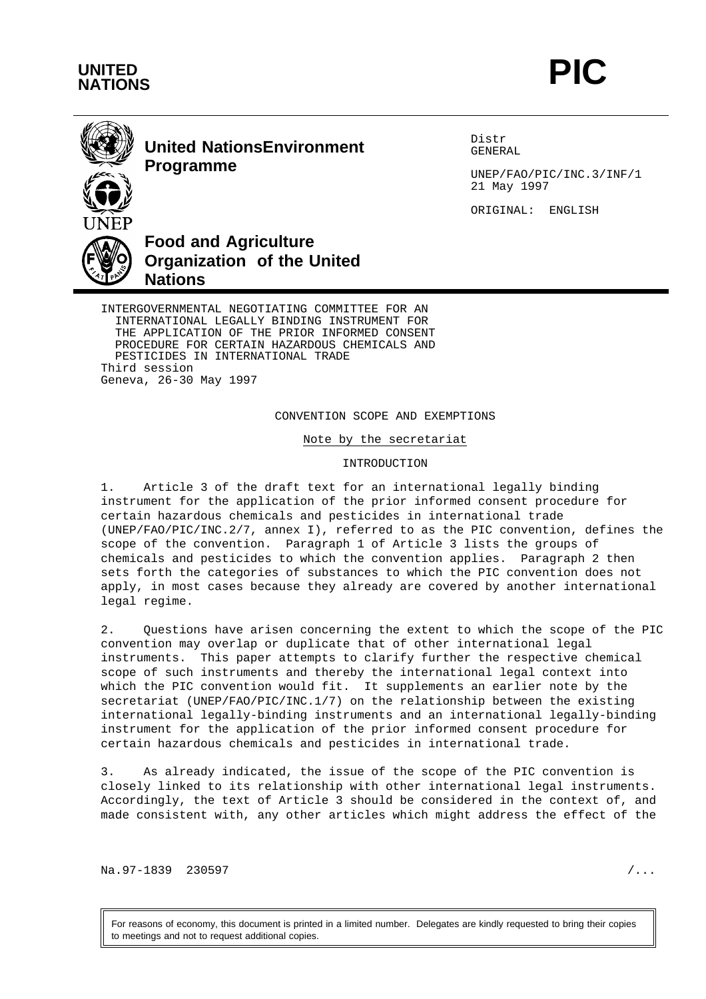



## **United NationsEnvironment Programme**

Distr GENERAL

UNEP/FAO/PIC/INC.3/INF/1 21 May 1997

ORIGINAL: ENGLISH

# **Food and Agriculture Organization of the United Nations**

INTERGOVERNMENTAL NEGOTIATING COMMITTEE FOR AN INTERNATIONAL LEGALLY BINDING INSTRUMENT FOR THE APPLICATION OF THE PRIOR INFORMED CONSENT PROCEDURE FOR CERTAIN HAZARDOUS CHEMICALS AND PESTICIDES IN INTERNATIONAL TRADE Third session Geneva, 26-30 May 1997

## CONVENTION SCOPE AND EXEMPTIONS

Note by the secretariat

## INTRODUCTION

1. Article 3 of the draft text for an international legally binding instrument for the application of the prior informed consent procedure for certain hazardous chemicals and pesticides in international trade (UNEP/FAO/PIC/INC.2/7, annex I), referred to as the PIC convention, defines the scope of the convention. Paragraph 1 of Article 3 lists the groups of chemicals and pesticides to which the convention applies. Paragraph 2 then sets forth the categories of substances to which the PIC convention does not apply, in most cases because they already are covered by another international legal regime.

2. Questions have arisen concerning the extent to which the scope of the PIC convention may overlap or duplicate that of other international legal instruments. This paper attempts to clarify further the respective chemical scope of such instruments and thereby the international legal context into which the PIC convention would fit. It supplements an earlier note by the secretariat (UNEP/FAO/PIC/INC.1/7) on the relationship between the existing international legally-binding instruments and an international legally-binding instrument for the application of the prior informed consent procedure for certain hazardous chemicals and pesticides in international trade.

3. As already indicated, the issue of the scope of the PIC convention is closely linked to its relationship with other international legal instruments. Accordingly, the text of Article 3 should be considered in the context of, and made consistent with, any other articles which might address the effect of the

Na.97-1839 230597 / ...

For reasons of economy, this document is printed in a limited number. Delegates are kindly requested to bring their copies to meetings and not to request additional copies.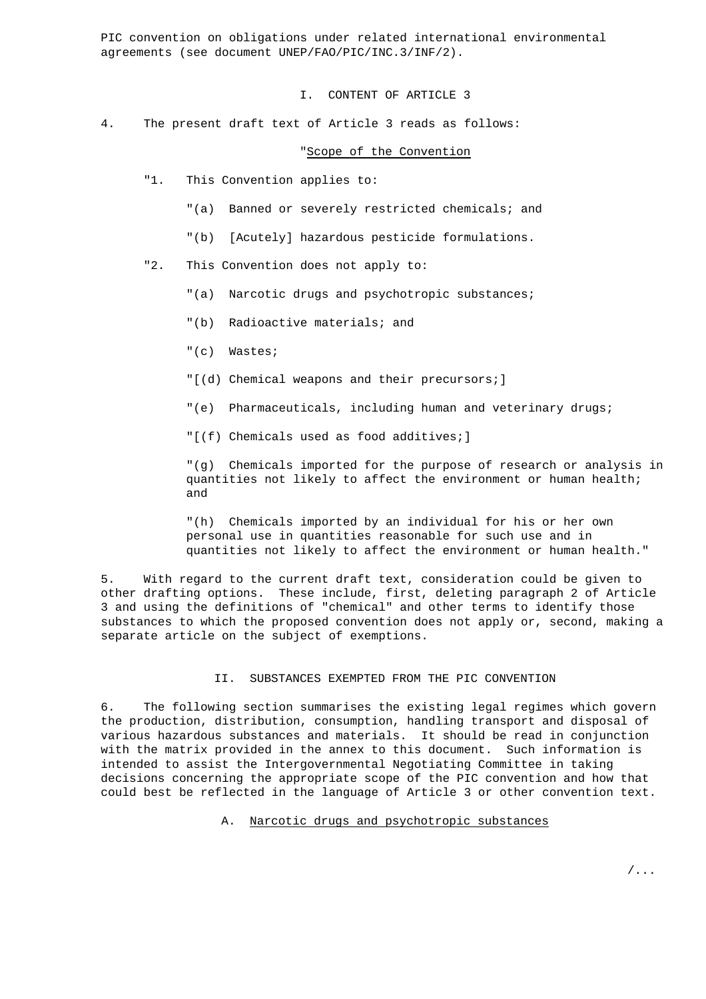PIC convention on obligations under related international environmental agreements (see document UNEP/FAO/PIC/INC.3/INF/2).

I. CONTENT OF ARTICLE 3

4. The present draft text of Article 3 reads as follows:

#### "Scope of the Convention

- "1. This Convention applies to:
	- "(a) Banned or severely restricted chemicals; and
	- "(b) [Acutely] hazardous pesticide formulations.
- "2. This Convention does not apply to:
	- "(a) Narcotic drugs and psychotropic substances;
	- "(b) Radioactive materials; and
	- "(c) Wastes;
	- "[(d) Chemical weapons and their precursors;]
	- "(e) Pharmaceuticals, including human and veterinary drugs;
	- "[(f) Chemicals used as food additives;]

"(g) Chemicals imported for the purpose of research or analysis in quantities not likely to affect the environment or human health; and

"(h) Chemicals imported by an individual for his or her own personal use in quantities reasonable for such use and in quantities not likely to affect the environment or human health."

5. With regard to the current draft text, consideration could be given to other drafting options. These include, first, deleting paragraph 2 of Article 3 and using the definitions of "chemical" and other terms to identify those substances to which the proposed convention does not apply or, second, making a separate article on the subject of exemptions.

#### II. SUBSTANCES EXEMPTED FROM THE PIC CONVENTION

6. The following section summarises the existing legal regimes which govern the production, distribution, consumption, handling transport and disposal of various hazardous substances and materials. It should be read in conjunction with the matrix provided in the annex to this document. Such information is intended to assist the Intergovernmental Negotiating Committee in taking decisions concerning the appropriate scope of the PIC convention and how that could best be reflected in the language of Article 3 or other convention text.

#### A. Narcotic drugs and psychotropic substances

/...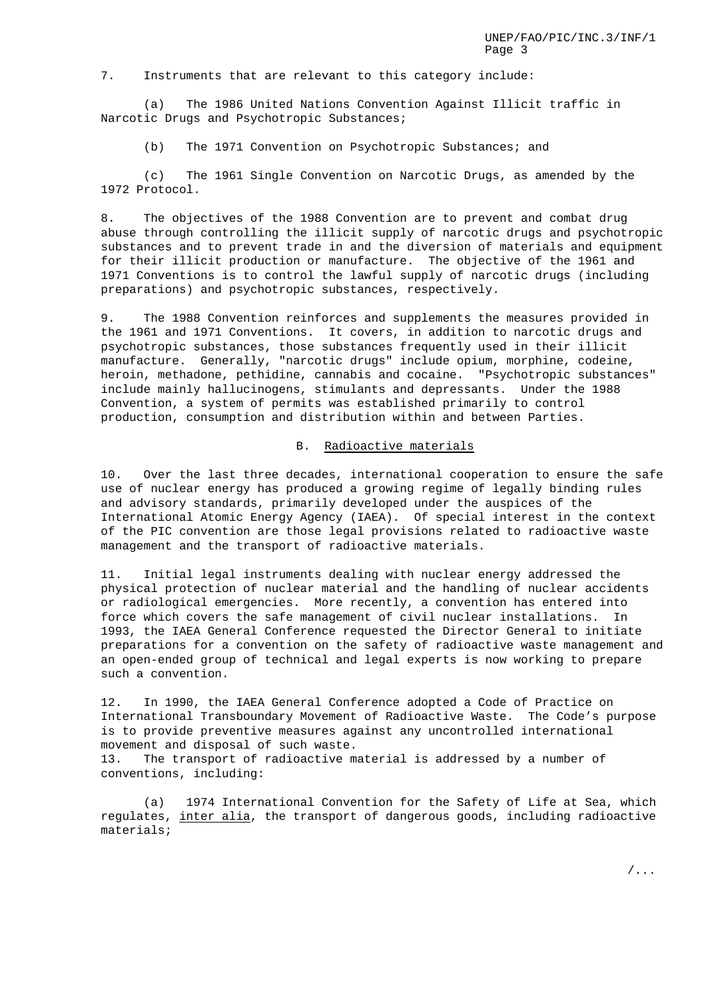7. Instruments that are relevant to this category include:

(a) The 1986 United Nations Convention Against Illicit traffic in Narcotic Drugs and Psychotropic Substances;

(b) The 1971 Convention on Psychotropic Substances; and

(c) The 1961 Single Convention on Narcotic Drugs, as amended by the 1972 Protocol.

8. The objectives of the 1988 Convention are to prevent and combat drug abuse through controlling the illicit supply of narcotic drugs and psychotropic substances and to prevent trade in and the diversion of materials and equipment for their illicit production or manufacture. The objective of the 1961 and 1971 Conventions is to control the lawful supply of narcotic drugs (including preparations) and psychotropic substances, respectively.

9. The 1988 Convention reinforces and supplements the measures provided in the 1961 and 1971 Conventions. It covers, in addition to narcotic drugs and psychotropic substances, those substances frequently used in their illicit manufacture. Generally, "narcotic drugs" include opium, morphine, codeine, heroin, methadone, pethidine, cannabis and cocaine. "Psychotropic substances" include mainly hallucinogens, stimulants and depressants. Under the 1988 Convention, a system of permits was established primarily to control production, consumption and distribution within and between Parties.

## B. Radioactive materials

10. Over the last three decades, international cooperation to ensure the safe use of nuclear energy has produced a growing regime of legally binding rules and advisory standards, primarily developed under the auspices of the International Atomic Energy Agency (IAEA). Of special interest in the context of the PIC convention are those legal provisions related to radioactive waste management and the transport of radioactive materials.

11. Initial legal instruments dealing with nuclear energy addressed the physical protection of nuclear material and the handling of nuclear accidents or radiological emergencies. More recently, a convention has entered into force which covers the safe management of civil nuclear installations. In 1993, the IAEA General Conference requested the Director General to initiate preparations for a convention on the safety of radioactive waste management and an open-ended group of technical and legal experts is now working to prepare such a convention.

12. In 1990, the IAEA General Conference adopted a Code of Practice on International Transboundary Movement of Radioactive Waste. The Code's purpose is to provide preventive measures against any uncontrolled international movement and disposal of such waste.

13. The transport of radioactive material is addressed by a number of conventions, including:

(a) 1974 International Convention for the Safety of Life at Sea, which regulates, inter alia, the transport of dangerous goods, including radioactive materials;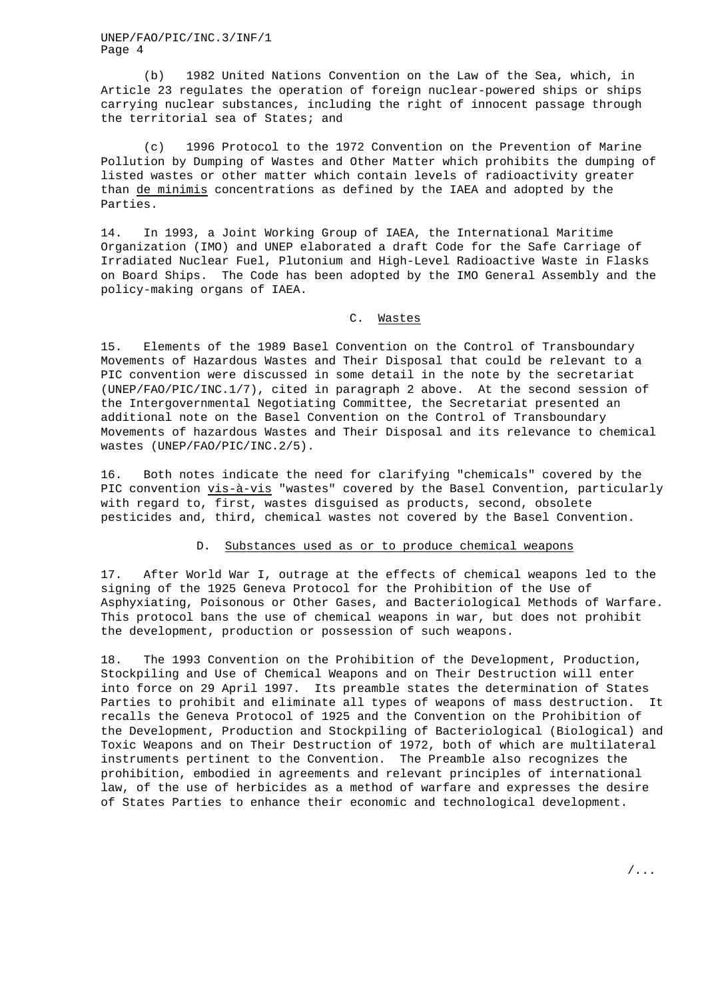UNEP/FAO/PIC/INC.3/INF/1 Page 4

(b) 1982 United Nations Convention on the Law of the Sea, which, in Article 23 regulates the operation of foreign nuclear-powered ships or ships carrying nuclear substances, including the right of innocent passage through the territorial sea of States; and

(c) 1996 Protocol to the 1972 Convention on the Prevention of Marine Pollution by Dumping of Wastes and Other Matter which prohibits the dumping of listed wastes or other matter which contain levels of radioactivity greater than de minimis concentrations as defined by the IAEA and adopted by the Parties.

14. In 1993, a Joint Working Group of IAEA, the International Maritime Organization (IMO) and UNEP elaborated a draft Code for the Safe Carriage of Irradiated Nuclear Fuel, Plutonium and High-Level Radioactive Waste in Flasks on Board Ships. The Code has been adopted by the IMO General Assembly and the policy-making organs of IAEA.

#### C. Wastes

15. Elements of the 1989 Basel Convention on the Control of Transboundary Movements of Hazardous Wastes and Their Disposal that could be relevant to a PIC convention were discussed in some detail in the note by the secretariat (UNEP/FAO/PIC/INC.1/7), cited in paragraph 2 above. At the second session of the Intergovernmental Negotiating Committee, the Secretariat presented an additional note on the Basel Convention on the Control of Transboundary Movements of hazardous Wastes and Their Disposal and its relevance to chemical wastes (UNEP/FAO/PIC/INC.2/5).

16. Both notes indicate the need for clarifying "chemicals" covered by the PIC convention vis-à-vis "wastes" covered by the Basel Convention, particularly with regard to, first, wastes disguised as products, second, obsolete pesticides and, third, chemical wastes not covered by the Basel Convention.

#### D. Substances used as or to produce chemical weapons

17. After World War I, outrage at the effects of chemical weapons led to the signing of the 1925 Geneva Protocol for the Prohibition of the Use of Asphyxiating, Poisonous or Other Gases, and Bacteriological Methods of Warfare. This protocol bans the use of chemical weapons in war, but does not prohibit the development, production or possession of such weapons.

18. The 1993 Convention on the Prohibition of the Development, Production, Stockpiling and Use of Chemical Weapons and on Their Destruction will enter into force on 29 April 1997. Its preamble states the determination of States Parties to prohibit and eliminate all types of weapons of mass destruction. It recalls the Geneva Protocol of 1925 and the Convention on the Prohibition of the Development, Production and Stockpiling of Bacteriological (Biological) and Toxic Weapons and on Their Destruction of 1972, both of which are multilateral instruments pertinent to the Convention. The Preamble also recognizes the prohibition, embodied in agreements and relevant principles of international law, of the use of herbicides as a method of warfare and expresses the desire of States Parties to enhance their economic and technological development.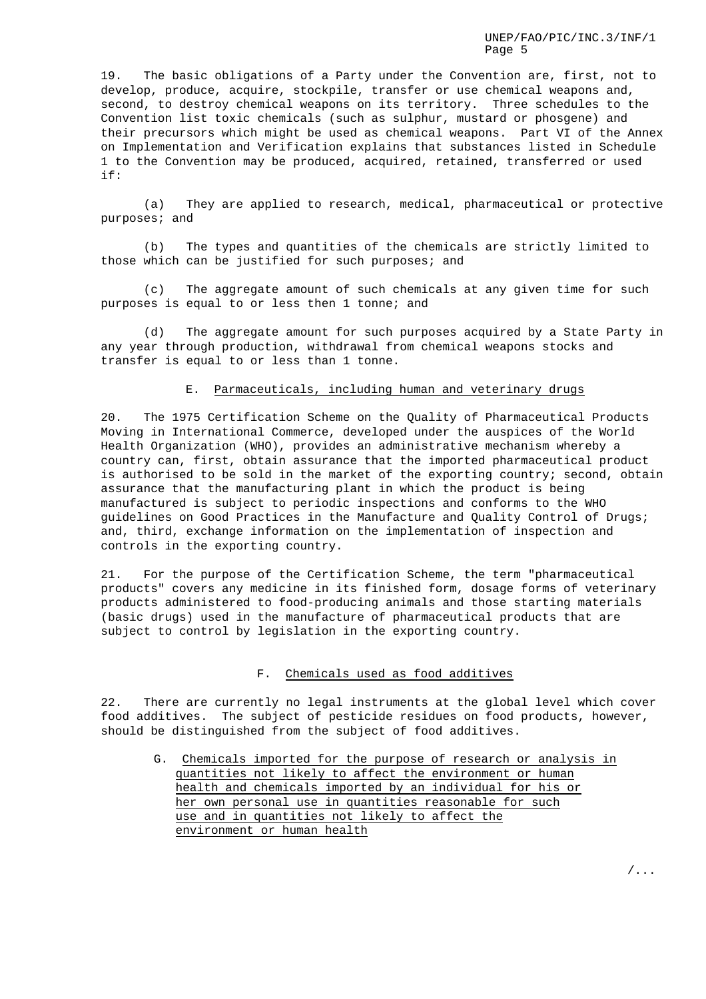19. The basic obligations of a Party under the Convention are, first, not to develop, produce, acquire, stockpile, transfer or use chemical weapons and, second, to destroy chemical weapons on its territory. Three schedules to the Convention list toxic chemicals (such as sulphur, mustard or phosgene) and their precursors which might be used as chemical weapons. Part VI of the Annex on Implementation and Verification explains that substances listed in Schedule 1 to the Convention may be produced, acquired, retained, transferred or used if:

(a) They are applied to research, medical, pharmaceutical or protective purposes; and

(b) The types and quantities of the chemicals are strictly limited to those which can be justified for such purposes; and

(c) The aggregate amount of such chemicals at any given time for such purposes is equal to or less then 1 tonne; and

(d) The aggregate amount for such purposes acquired by a State Party in any year through production, withdrawal from chemical weapons stocks and transfer is equal to or less than 1 tonne.

#### E. Parmaceuticals, including human and veterinary drugs

20. The 1975 Certification Scheme on the Quality of Pharmaceutical Products Moving in International Commerce, developed under the auspices of the World Health Organization (WHO), provides an administrative mechanism whereby a country can, first, obtain assurance that the imported pharmaceutical product is authorised to be sold in the market of the exporting country; second, obtain assurance that the manufacturing plant in which the product is being manufactured is subject to periodic inspections and conforms to the WHO guidelines on Good Practices in the Manufacture and Quality Control of Drugs; and, third, exchange information on the implementation of inspection and controls in the exporting country.

21. For the purpose of the Certification Scheme, the term "pharmaceutical products" covers any medicine in its finished form, dosage forms of veterinary products administered to food-producing animals and those starting materials (basic drugs) used in the manufacture of pharmaceutical products that are subject to control by legislation in the exporting country.

#### F. Chemicals used as food additives

22. There are currently no legal instruments at the global level which cover food additives. The subject of pesticide residues on food products, however, should be distinguished from the subject of food additives.

G. Chemicals imported for the purpose of research or analysis in quantities not likely to affect the environment or human health and chemicals imported by an individual for his or her own personal use in quantities reasonable for such use and in quantities not likely to affect the environment or human health

/...